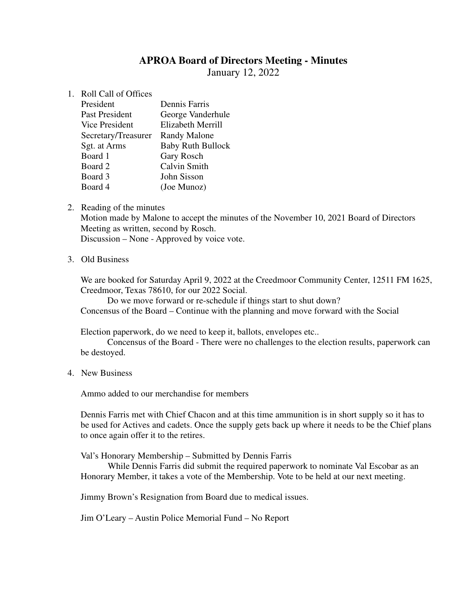# **APROA Board of Directors Meeting - Minutes**

January 12, 2022

1. Roll Call of Offices

| President             | <b>Dennis Farris</b>     |
|-----------------------|--------------------------|
| <b>Past President</b> | George Vanderhule        |
| Vice President        | <b>Elizabeth Merrill</b> |
| Secretary/Treasurer   | <b>Randy Malone</b>      |
| Sgt. at Arms          | <b>Baby Ruth Bullock</b> |
| Board 1               | <b>Gary Rosch</b>        |
| Board 2               | <b>Calvin Smith</b>      |
| Board 3               | John Sisson              |
| Board 4               | (Joe Munoz)              |

2. Reading of the minutes

Motion made by Malone to accept the minutes of the November 10, 2021 Board of Directors Meeting as written, second by Rosch.

Discussion – None - Approved by voice vote.

3. Old Business

We are booked for Saturday April 9, 2022 at the Creedmoor Community Center, 12511 FM 1625, Creedmoor, Texas 78610, for our 2022 Social.

 Do we move forward or re-schedule if things start to shut down? Concensus of the Board – Continue with the planning and move forward with the Social

Election paperwork, do we need to keep it, ballots, envelopes etc..

Concensus of the Board - There were no challenges to the election results, paperwork can be destoyed.

4. New Business

Ammo added to our merchandise for members

Dennis Farris met with Chief Chacon and at this time ammunition is in short supply so it has to be used for Actives and cadets. Once the supply gets back up where it needs to be the Chief plans to once again offer it to the retires.

Val's Honorary Membership – Submitted by Dennis Farris

While Dennis Farris did submit the required paperwork to nominate Val Escobar as an Honorary Member, it takes a vote of the Membership. Vote to be held at our next meeting.

Jimmy Brown's Resignation from Board due to medical issues.

Jim O'Leary – Austin Police Memorial Fund – No Report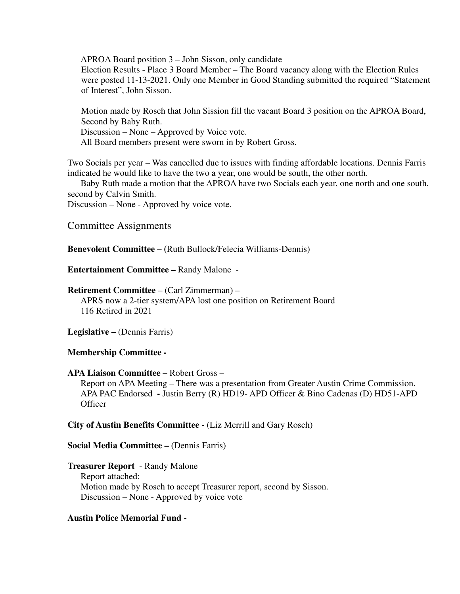APROA Board position 3 – John Sisson, only candidate

Election Results - Place 3 Board Member – The Board vacancy along with the Election Rules were posted 11-13-2021. Only one Member in Good Standing submitted the required "Statement of Interest", John Sisson.

Motion made by Rosch that John Sission fill the vacant Board 3 position on the APROA Board, Second by Baby Ruth. Discussion – None – Approved by Voice vote.

All Board members present were sworn in by Robert Gross.

Two Socials per year – Was cancelled due to issues with finding affordable locations. Dennis Farris indicated he would like to have the two a year, one would be south, the other north.

 Baby Ruth made a motion that the APROA have two Socials each year, one north and one south, second by Calvin Smith.

Discussion – None - Approved by voice vote.

Committee Assignments

**Benevolent Committee – (**Ruth Bullock/Felecia Williams-Dennis)

**Entertainment Committee –** Randy Malone -

### **Retirement Committee** – (Carl Zimmerman) –

APRS now a 2-tier system/APA lost one position on Retirement Board 116 Retired in 2021

Legislative – (Dennis Farris)

## **Membership Committee -**

### **APA Liaison Committee –** Robert Gross –

 Report on APA Meeting – There was a presentation from Greater Austin Crime Commission. APA PAC Endorsed **-** Justin Berry (R) HD19- APD Officer & Bino Cadenas (D) HD51-APD **Officer** 

## **City of Austin Benefits Committee -** (Liz Merrill and Gary Rosch)

### **Social Media Committee – (Dennis Farris)**

**Treasurer Report** - Randy Malone Report attached: Motion made by Rosch to accept Treasurer report, second by Sisson. Discussion – None - Approved by voice vote

## **Austin Police Memorial Fund -**